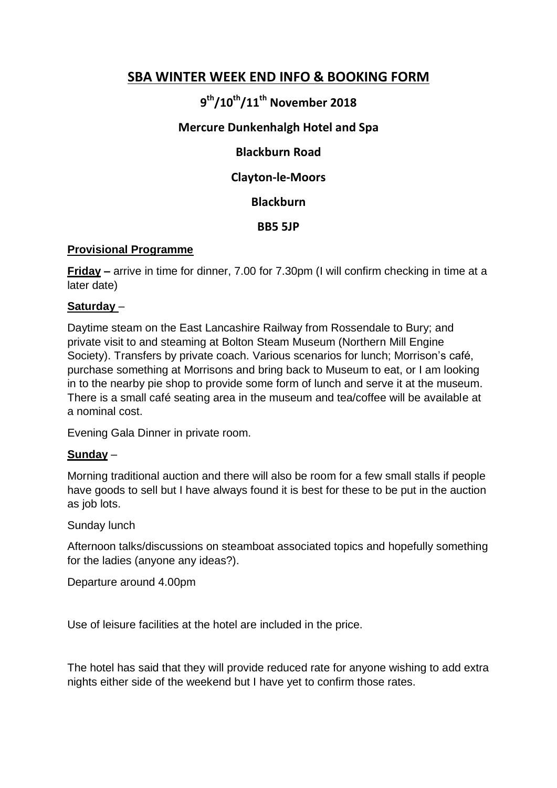### **SBA WINTER WEEK END INFO & BOOKING FORM**

# **9 th/10th/11th November 2018**

#### **Mercure Dunkenhalgh Hotel and Spa**

#### **Blackburn Road**

#### **Clayton-le-Moors**

**Blackburn**

**BB5 5JP**

#### **Provisional Programme**

**Friday –** arrive in time for dinner, 7.00 for 7.30pm (I will confirm checking in time at a later date)

#### **Saturday** –

Daytime steam on the East Lancashire Railway from Rossendale to Bury; and private visit to and steaming at Bolton Steam Museum (Northern Mill Engine Society). Transfers by private coach. Various scenarios for lunch; Morrison's café, purchase something at Morrisons and bring back to Museum to eat, or I am looking in to the nearby pie shop to provide some form of lunch and serve it at the museum. There is a small café seating area in the museum and tea/coffee will be available at a nominal cost.

Evening Gala Dinner in private room.

#### **Sunday** –

Morning traditional auction and there will also be room for a few small stalls if people have goods to sell but I have always found it is best for these to be put in the auction as job lots.

#### Sunday lunch

Afternoon talks/discussions on steamboat associated topics and hopefully something for the ladies (anyone any ideas?).

Departure around 4.00pm

Use of leisure facilities at the hotel are included in the price.

The hotel has said that they will provide reduced rate for anyone wishing to add extra nights either side of the weekend but I have yet to confirm those rates.